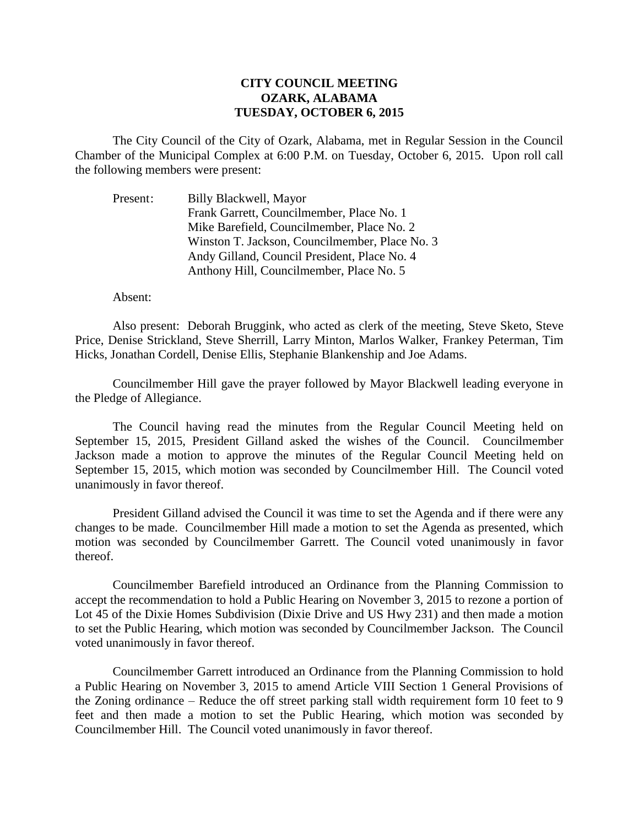## **CITY COUNCIL MEETING OZARK, ALABAMA TUESDAY, OCTOBER 6, 2015**

The City Council of the City of Ozark, Alabama, met in Regular Session in the Council Chamber of the Municipal Complex at 6:00 P.M. on Tuesday, October 6, 2015. Upon roll call the following members were present:

Present: Billy Blackwell, Mayor Frank Garrett, Councilmember, Place No. 1 Mike Barefield, Councilmember, Place No. 2 Winston T. Jackson, Councilmember, Place No. 3 Andy Gilland, Council President, Place No. 4 Anthony Hill, Councilmember, Place No. 5

Absent:

Also present: Deborah Bruggink, who acted as clerk of the meeting, Steve Sketo, Steve Price, Denise Strickland, Steve Sherrill, Larry Minton, Marlos Walker, Frankey Peterman, Tim Hicks, Jonathan Cordell, Denise Ellis, Stephanie Blankenship and Joe Adams.

Councilmember Hill gave the prayer followed by Mayor Blackwell leading everyone in the Pledge of Allegiance.

The Council having read the minutes from the Regular Council Meeting held on September 15, 2015, President Gilland asked the wishes of the Council. Councilmember Jackson made a motion to approve the minutes of the Regular Council Meeting held on September 15, 2015, which motion was seconded by Councilmember Hill. The Council voted unanimously in favor thereof.

President Gilland advised the Council it was time to set the Agenda and if there were any changes to be made. Councilmember Hill made a motion to set the Agenda as presented, which motion was seconded by Councilmember Garrett. The Council voted unanimously in favor thereof.

 Councilmember Barefield introduced an Ordinance from the Planning Commission to accept the recommendation to hold a Public Hearing on November 3, 2015 to rezone a portion of Lot 45 of the Dixie Homes Subdivision (Dixie Drive and US Hwy 231) and then made a motion to set the Public Hearing, which motion was seconded by Councilmember Jackson. The Council voted unanimously in favor thereof.

 Councilmember Garrett introduced an Ordinance from the Planning Commission to hold a Public Hearing on November 3, 2015 to amend Article VIII Section 1 General Provisions of the Zoning ordinance – Reduce the off street parking stall width requirement form 10 feet to 9 feet and then made a motion to set the Public Hearing, which motion was seconded by Councilmember Hill. The Council voted unanimously in favor thereof.